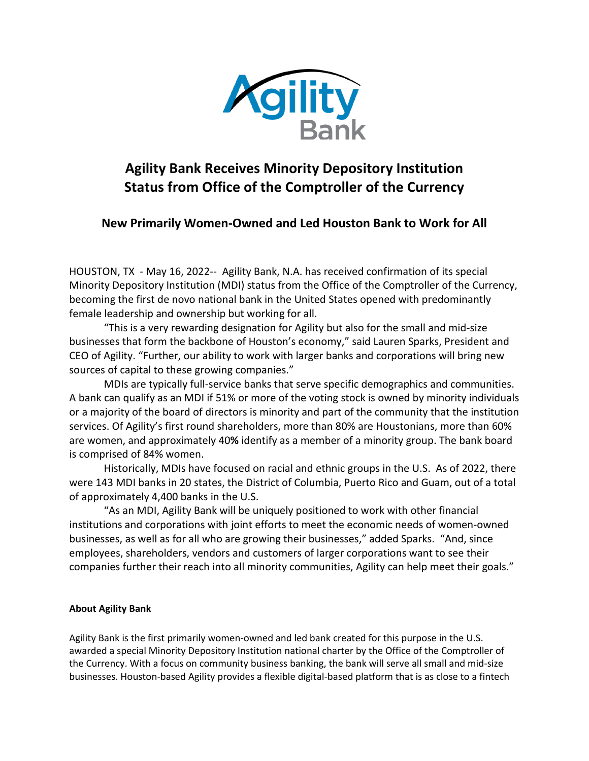

## **Agility Bank Receives Minority Depository Institution Status from Office of the Comptroller of the Currency**

**New Primarily Women-Owned and Led Houston Bank to Work for All**

HOUSTON, TX - May 16, 2022-- Agility Bank, N.A. has received confirmation of its special Minority Depository Institution (MDI) status from the Office of the Comptroller of the Currency, becoming the first de novo national bank in the United States opened with predominantly female leadership and ownership but working for all.

"This is a very rewarding designation for Agility but also for the small and mid-size businesses that form the backbone of Houston's economy," said Lauren Sparks, President and CEO of Agility. "Further, our ability to work with larger banks and corporations will bring new sources of capital to these growing companies."

MDIs are typically full-service banks that serve specific demographics and communities. A bank can qualify as an MDI if 51% or more of the voting stock is owned by minority individuals or a majority of the board of directors is minority and part of the community that the institution services. Of Agility's first round shareholders, more than 80% are Houstonians, more than 60% are women, and approximately 40**%** identify as a member of a minority group. The bank board is comprised of 84% women.

Historically, MDIs have focused on racial and ethnic groups in the U.S. As of 2022, there were 143 MDI banks in 20 states, the District of Columbia, Puerto Rico and Guam, out of a total of approximately 4,400 banks in the U.S.

"As an MDI, Agility Bank will be uniquely positioned to work with other financial institutions and corporations with joint efforts to meet the economic needs of women-owned businesses, as well as for all who are growing their businesses," added Sparks. "And, since employees, shareholders, vendors and customers of larger corporations want to see their companies further their reach into all minority communities, Agility can help meet their goals."

## **About Agility Bank**

Agility Bank is the first primarily women-owned and led bank created for this purpose in the U.S. awarded a special Minority Depository Institution national charter by the Office of the Comptroller of the Currency. With a focus on community business banking, the bank will serve all small and mid-size businesses. Houston-based Agility provides a flexible digital-based platform that is as close to a fintech